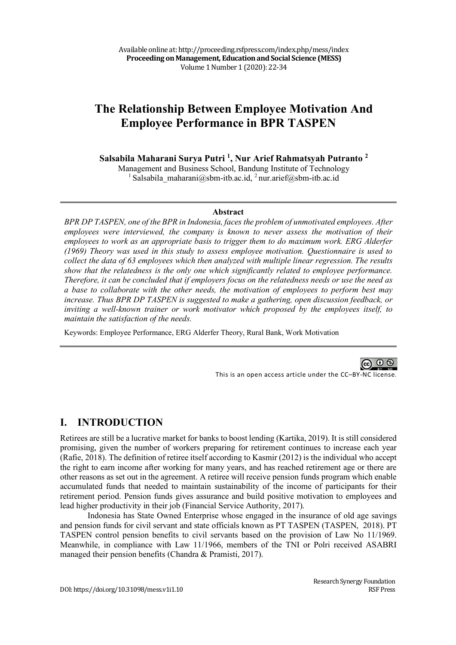# **The Relationship Between Employee Motivation And Employee Performance in BPR TASPEN**

**Salsabila Maharani Surya Putri 1, Nur Arief Rahmatsyah Putranto <sup>2</sup>**

Management and Business School, Bandung Institute of Technology <sup>1</sup> Salsabila\_maharani@sbm-itb.ac.id, <sup>2</sup> nur.arief@sbm-itb.ac.id

#### **Abstract**

*BPR DP TASPEN, one of the BPR in Indonesia, faces the problem of unmotivated employees. After employees were interviewed, the company is known to never assess the motivation of their employees to work as an appropriate basis to trigger them to do maximum work. ERG Alderfer (1969) Theory was used in this study to assess employee motivation. Questionnaire is used to collect the data of 63 employees which then analyzed with multiple linear regression. The results show that the relatedness is the only one which significantly related to employee performance. Therefore, it can be concluded that if employers focus on the relatedness needs or use the need as a base to collaborate with the other needs, the motivation of employees to perform best may increase. Thus BPR DP TASPEN is suggested to make a gathering, open discussion feedback, or inviting a well-known trainer or work motivator which proposed by the employees itself, to maintain the satisfaction of the needs.*

Keywords: Employee Performance, ERG Alderfer Theory, Rural Bank, Work Motivation

ര 0 ® This is an open access article under the CC–BY-NC license.

## **I. INTRODUCTION**

Retirees are still be a lucrative market for banks to boost lending (Kartika, 2019). It is still considered promising, given the number of workers preparing for retirement continues to increase each year (Rafie, 2018). The definition of retiree itself according to Kasmir (2012) is the individual who accept the right to earn income after working for many years, and has reached retirement age or there are other reasons as set out in the agreement. A retiree will receive pension funds program which enable accumulated funds that needed to maintain sustainability of the income of participants for their retirement period. Pension funds gives assurance and build positive motivation to employees and lead higher productivity in their job (Financial Service Authority, 2017).

Indonesia has State Owned Enterprise whose engaged in the insurance of old age savings and pension funds for civil servant and state officials known as PT TASPEN (TASPEN, 2018). PT TASPEN control pension benefits to civil servants based on the provision of Law No 11/1969. Meanwhile, in compliance with Law 11/1966, members of the TNI or Polri received ASABRI managed their pension benefits (Chandra & Pramisti, 2017).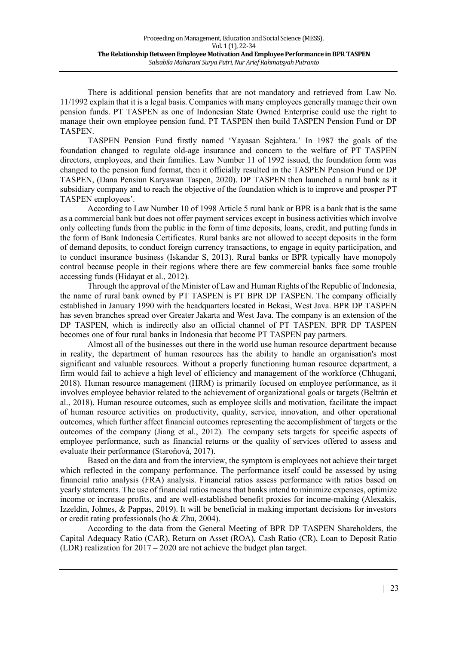There is additional pension benefits that are not mandatory and retrieved from Law No. 11/1992 explain that it is a legal basis. Companies with many employees generally manage their own pension funds. PT TASPEN as one of Indonesian State Owned Enterprise could use the right to manage their own employee pension fund. PT TASPEN then build TASPEN Pension Fund or DP TASPEN.

TASPEN Pension Fund firstly named 'Yayasan Sejahtera.' In 1987 the goals of the foundation changed to regulate old-age insurance and concern to the welfare of PT TASPEN directors, employees, and their families. Law Number 11 of 1992 issued, the foundation form was changed to the pension fund format, then it officially resulted in the TASPEN Pension Fund or DP TASPEN, (Dana Pensiun Karyawan Taspen, 2020). DP TASPEN then launched a rural bank as it subsidiary company and to reach the objective of the foundation which is to improve and prosper PT TASPEN employees'.

According to Law Number 10 of 1998 Article 5 rural bank or BPR is a bank that is the same as a commercial bank but does not offer payment services except in business activities which involve only collecting funds from the public in the form of time deposits, loans, credit, and putting funds in the form of Bank Indonesia Certificates. Rural banks are not allowed to accept deposits in the form of demand deposits, to conduct foreign currency transactions, to engage in equity participation, and to conduct insurance business (Iskandar S, 2013). Rural banks or BPR typically have monopoly control because people in their regions where there are few commercial banks face some trouble accessing funds (Hidayat et al., 2012).

Through the approval of the Minister of Law and Human Rights of the Republic of Indonesia, the name of rural bank owned by PT TASPEN is PT BPR DP TASPEN. The company officially established in January 1990 with the headquarters located in Bekasi, West Java. BPR DP TASPEN has seven branches spread over Greater Jakarta and West Java. The company is an extension of the DP TASPEN, which is indirectly also an official channel of PT TASPEN. BPR DP TASPEN becomes one of four rural banks in Indonesia that become PT TASPEN pay partners.

Almost all of the businesses out there in the world use human resource department because in reality, the department of human resources has the ability to handle an organisation's most significant and valuable resources. Without a properly functioning human resource department, a firm would fail to achieve a high level of efficiency and management of the workforce (Chhugani, 2018). Human resource management (HRM) is primarily focused on employee performance, as it involves employee behavior related to the achievement of organizational goals or targets (Beltrán et al., 2018). Human resource outcomes, such as employee skills and motivation, facilitate the impact of human resource activities on productivity, quality, service, innovation, and other operational outcomes, which further affect financial outcomes representing the accomplishment of targets or the outcomes of the company (Jiang et al., 2012). The company sets targets for specific aspects of employee performance, such as financial returns or the quality of services offered to assess and evaluate their performance (Staroňová, 2017).

Based on the data and from the interview, the symptom is employees not achieve their target which reflected in the company performance. The performance itself could be assessed by using financial ratio analysis (FRA) analysis. Financial ratios assess performance with ratios based on yearly statements. The use of financial ratios means that banks intend to minimize expenses, optimize income or increase profits, and are well-established benefit proxies for income-making (Alexakis, Izzeldin, Johnes, & Pappas, 2019). It will be beneficial in making important decisions for investors or credit rating professionals (ho & Zhu, 2004).

According to the data from the General Meeting of BPR DP TASPEN Shareholders, the Capital Adequacy Ratio (CAR), Return on Asset (ROA), Cash Ratio (CR), Loan to Deposit Ratio (LDR) realization for 2017 – 2020 are not achieve the budget plan target.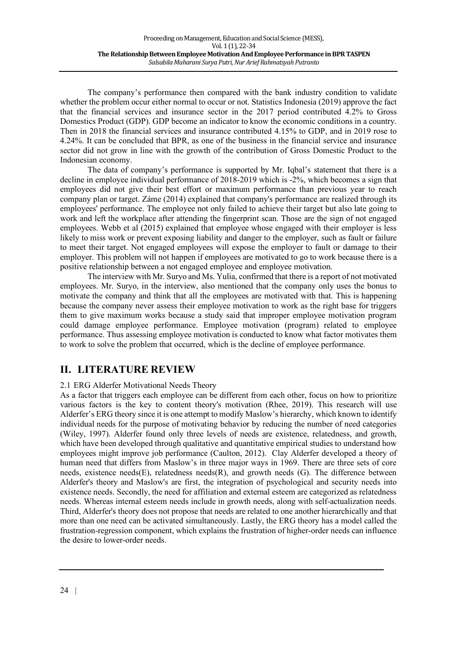The company's performance then compared with the bank industry condition to validate whether the problem occur either normal to occur or not. Statistics Indonesia (2019) approve the fact that the financial services and insurance sector in the 2017 period contributed 4.2% to Gross Domestics Product (GDP). GDP become an indicator to know the economic conditions in a country. Then in 2018 the financial services and insurance contributed 4.15% to GDP, and in 2019 rose to 4.24%. It can be concluded that BPR, as one of the business in the financial service and insurance sector did not grow in line with the growth of the contribution of Gross Domestic Product to the Indonesian economy.

The data of company's performance is supported by Mr. Iqbal's statement that there is a decline in employee individual performance of 2018-2019 which is -2%, which becomes a sign that employees did not give their best effort or maximum performance than previous year to reach company plan or target. Záme (2014) explained that company's performance are realized through its employees' performance. The employee not only failed to achieve their target but also late going to work and left the workplace after attending the fingerprint scan. Those are the sign of not engaged employees. Webb et al (2015) explained that employee whose engaged with their employer is less likely to miss work or prevent exposing liability and danger to the employer, such as fault or failure to meet their target. Not engaged employees will expose the employer to fault or damage to their employer. This problem will not happen if employees are motivated to go to work because there is a positive relationship between a not engaged employee and employee motivation.

The interview with Mr. Suryo and Ms. Yulia, confirmed that there is a report of not motivated employees. Mr. Suryo, in the interview, also mentioned that the company only uses the bonus to motivate the company and think that all the employees are motivated with that. This is happening because the company never assess their employee motivation to work as the right base for triggers them to give maximum works because a study said that improper employee motivation program could damage employee performance. Employee motivation (program) related to employee performance. Thus assessing employee motivation is conducted to know what factor motivates them to work to solve the problem that occurred, which is the decline of employee performance.

# **II. LITERATURE REVIEW**

#### 2.1 ERG Alderfer Motivational Needs Theory

As a factor that triggers each employee can be different from each other, focus on how to prioritize various factors is the key to content theory's motivation (Rhee, 2019). This research will use Alderfer's ERG theory since it is one attempt to modify Maslow's hierarchy, which known to identify individual needs for the purpose of motivating behavior by reducing the number of need categories (Wiley, 1997). Alderfer found only three levels of needs are existence, relatedness, and growth, which have been developed through qualitative and quantitative empirical studies to understand how employees might improve job performance (Caulton, 2012). Clay Alderfer developed a theory of human need that differs from Maslow's in three major ways in 1969. There are three sets of core needs, existence needs(E), relatedness needs(R), and growth needs (G). The difference between Alderfer's theory and Maslow's are first, the integration of psychological and security needs into existence needs. Secondly, the need for affiliation and external esteem are categorized as relatedness needs. Whereas internal esteem needs include in growth needs, along with self-actualization needs. Third, Alderfer's theory does not propose that needs are related to one another hierarchically and that more than one need can be activated simultaneously. Lastly, the ERG theory has a model called the frustration-regression component, which explains the frustration of higher-order needs can influence the desire to lower-order needs.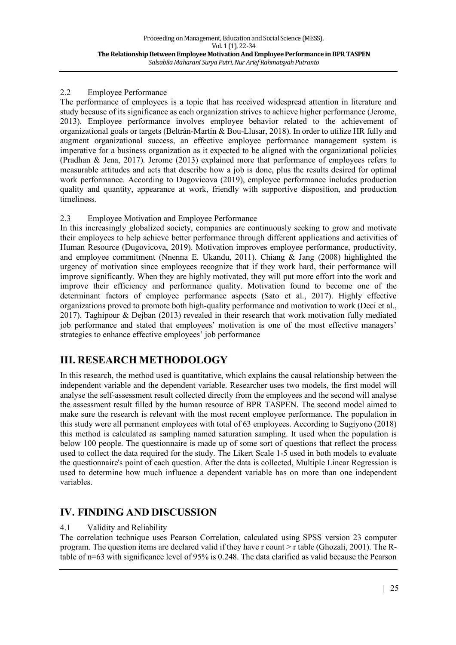#### 2.2 Employee Performance

The performance of employees is a topic that has received widespread attention in literature and study because of its significance as each organization strives to achieve higher performance (Jerome, 2013). Employee performance involves employee behavior related to the achievement of organizational goals or targets (Beltrán-Martín & Bou-Llusar, 2018). In order to utilize HR fully and augment organizational success, an effective employee performance management system is imperative for a business organization as it expected to be aligned with the organizational policies (Pradhan & Jena, 2017). Jerome (2013) explained more that performance of employees refers to measurable attitudes and acts that describe how a job is done, plus the results desired for optimal work performance. According to Dugovicova (2019), employee performance includes production quality and quantity, appearance at work, friendly with supportive disposition, and production timeliness.

## 2.3 Employee Motivation and Employee Performance

In this increasingly globalized society, companies are continuously seeking to grow and motivate their employees to help achieve better performance through different applications and activities of Human Resource (Dugovicova, 2019). Motivation improves employee performance, productivity, and employee commitment (Nnenna E. Ukandu, 2011). Chiang & Jang (2008) highlighted the urgency of motivation since employees recognize that if they work hard, their performance will improve significantly. When they are highly motivated, they will put more effort into the work and improve their efficiency and performance quality. Motivation found to become one of the determinant factors of employee performance aspects (Sato et al., 2017). Highly effective organizations proved to promote both high-quality performance and motivation to work (Deci et al., 2017). Taghipour & Dejban (2013) revealed in their research that work motivation fully mediated job performance and stated that employees' motivation is one of the most effective managers' strategies to enhance effective employees' job performance

# **III. RESEARCH METHODOLOGY**

In this research, the method used is quantitative, which explains the causal relationship between the independent variable and the dependent variable. Researcher uses two models, the first model will analyse the self-assessment result collected directly from the employees and the second will analyse the assessment result filled by the human resource of BPR TASPEN. The second model aimed to make sure the research is relevant with the most recent employee performance. The population in this study were all permanent employees with total of 63 employees. According to Sugiyono (2018) this method is calculated as sampling named saturation sampling. It used when the population is below 100 people. The questionnaire is made up of some sort of questions that reflect the process used to collect the data required for the study. The Likert Scale 1-5 used in both models to evaluate the questionnaire's point of each question. After the data is collected, Multiple Linear Regression is used to determine how much influence a dependent variable has on more than one independent variables.

# **IV. FINDING AND DISCUSSION**

## 4.1 Validity and Reliability

The correlation technique uses Pearson Correlation, calculated using SPSS version 23 computer program. The question items are declared valid if they have r count > r table (Ghozali, 2001). The Rtable of n=63 with significance level of 95% is 0.248. The data clarified as valid because the Pearson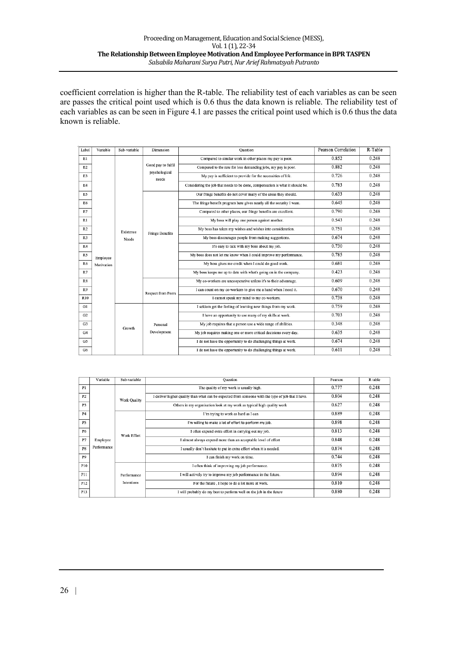coefficient correlation is higher than the R-table. The reliability test of each variables as can be seen are passes the critical point used which is 0.6 thus the data known is reliable. The reliability test of each variables as can be seen in Figure 4.1 are passes the critical point used which is 0.6 thus the data known is reliable.

| Label | Variable   | Sub-variable       | Dimension              | Ouestion                                                                      | Pearson Correlation | R-Table |
|-------|------------|--------------------|------------------------|-------------------------------------------------------------------------------|---------------------|---------|
| E1    |            |                    |                        | Compared to similar work in other places my pay is poor.                      | 0.852               | 0.248   |
| E2    |            |                    | Good pay to fulfil     | Compared to the rate for less demanding jobs, my pay is poor.                 |                     | 0.248   |
| E3    |            |                    | psychological<br>needs | My pay is sufficient to provide for the necessities of life.                  | 0.726               | 0.248   |
| E4    |            |                    |                        | Considering the job that needs to be done, compensation is what it should be. | 0.783               | 0.248   |
| E5    |            |                    |                        | Our fringe benefits do not cover many of the areas they should.               | 0.633               | 0.248   |
| E6    |            |                    |                        | The fringe benefit program here gives nearly all the security I want.         | 0.645               | 0.248   |
| E7    |            |                    |                        | Compared to other places, our fringe benefits are excellent.                  | 0.790               | 0.248   |
| R1    |            |                    |                        | My boss will play one person against another.                                 | 0.543               | 0.248   |
| R2    |            | Existence<br>Needs | <b>Fringe Benefits</b> | My boss has taken my wishes and wishes into consideration.                    | 0.751               | 0.248   |
| R3    |            |                    |                        | My boss discourages people from making suggestions.                           | 0.674               | 0.248   |
| R4    |            |                    |                        | It's easy to talk with my boss about my job.                                  | 0.730               | 0.248   |
| R5    | Employee   |                    |                        | My boss does not let me know when I could improve my performance.             | 0.785               | 0.248   |
| R6    | Motivation |                    |                        | My boss gives me credit when I could do good work.                            | 0.681               | 0.248   |
| R7    |            |                    |                        | My boss keeps me up to date with what's going on in the company.              | 0.423               | 0.248   |
| R8    |            |                    |                        | My co-workers are uncooperative unless it's to their advantage.               | 0.609               | 0.248   |
| R9    |            |                    | Respect from Peers     | I can count on my co-workers to give me a hand when I need it.                | 0.670               | 0.248   |
| R10   |            |                    |                        | I cannot speak my mind to my co-workers.                                      | 0.738               | 0.248   |
| Gl    |            |                    |                        | I seldom get the feeling of learning new things from my work.                 | 0.759               | 0.248   |
| G2    |            |                    |                        | I have an opportunity to use many of my skills at work.                       | 0.703               | 0.248   |
| G3    |            | Growth             | Personal               | My job requires that a person use a wide range of abilities.                  | 0.348               | 0.248   |
| G4    |            |                    | Development            | My job requires making one or more critical decisions every day.              | 0.635               | 0.248   |
| G5    |            |                    |                        | I do not have the opportunity to do challenging things at work.               | 0.674               | 0.248   |
| G6    |            |                    |                        | I do not have the opportunity to do challenging things at work.               | 0.611               | 0.248   |

|                | Variable    | Sub-variable | Ouestion                                                                                          | Pearson                                                                                                               | R table |       |                                                                    |       |       |
|----------------|-------------|--------------|---------------------------------------------------------------------------------------------------|-----------------------------------------------------------------------------------------------------------------------|---------|-------|--------------------------------------------------------------------|-------|-------|
| P1             |             |              | The quality of my work is usually high.                                                           | 0.777                                                                                                                 | 0.248   |       |                                                                    |       |       |
| P2             |             | Work Quality | I deliver higher quality than what can be expected from someone with the type of job that I have. | 0.804                                                                                                                 | 0.248   |       |                                                                    |       |       |
| P <sub>3</sub> |             |              | Others in my organisation look at my work as typical high quality work                            |                                                                                                                       | 0.248   |       |                                                                    |       |       |
| P <sub>4</sub> |             |              | I'm trying to work as hard as I can                                                               | 0.889                                                                                                                 | 0.248   |       |                                                                    |       |       |
| <b>P5</b>      |             |              | I'm willing to make a lot of effort to perform my job.                                            | 0.898                                                                                                                 | 0.248   |       |                                                                    |       |       |
| P6             |             | Work Effort  |                                                                                                   | I often expend extra effort in carrying out my job.<br>I almost always expend more than an acceptable level of effort |         | 0.248 |                                                                    |       |       |
| P7             | Employee    |              |                                                                                                   |                                                                                                                       |         | 0.248 |                                                                    |       |       |
| P8             | Performance |              |                                                                                                   |                                                                                                                       |         |       | I usually don't hesitate to put in extra effort when it is needed. | 0.874 | 0.248 |
| P9             |             |              |                                                                                                   | I can finish my work on time.                                                                                         | 0.744   | 0.248 |                                                                    |       |       |
| P10            |             |              | I often think of improving my job performance.                                                    | 0.875                                                                                                                 | 0.248   |       |                                                                    |       |       |
| P11            |             | Performance  | I will actively try to improve my job performance in the future.                                  | 0.894                                                                                                                 | 0.248   |       |                                                                    |       |       |
| P12            |             | Intentions   | For the future, I hope to do a lot more at work.                                                  | 0.810                                                                                                                 | 0.248   |       |                                                                    |       |       |
| P13            |             |              | I will probably do my best to perform well on the job in the future                               | 0.880                                                                                                                 | 0.248   |       |                                                                    |       |       |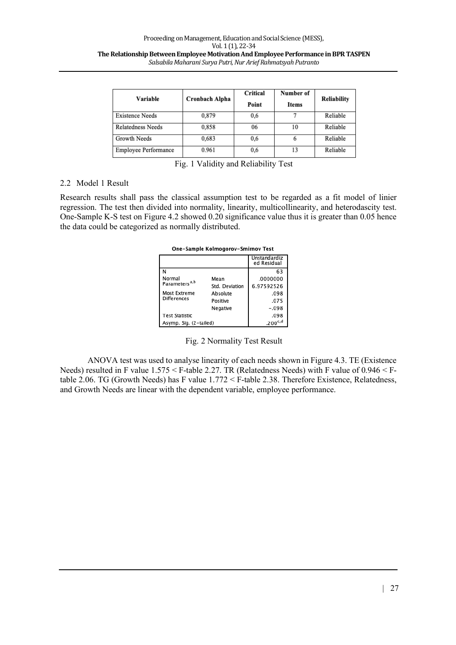| Variable               | Cronbach Alpha | Critical<br>Point | Number of<br><b>Items</b> | <b>Reliability</b> |
|------------------------|----------------|-------------------|---------------------------|--------------------|
| <b>Existence Needs</b> | 0,879          | 0,6               |                           | Reliable           |
| Relatedness Needs      | 0.858          | 06                | 10                        | Reliable           |
| Growth Needs           | 0.683          | 0.6               | 6                         | Reliable           |
| Employee Performance   | 0.961          | 0,6               | 13                        | Reliable           |

Fig. 1 Validity and Reliability Test

#### 2.2 Model 1 Result

Research results shall pass the classical assumption test to be regarded as a fit model of linier regression. The test then divided into normality, linearity, multicollinearity, and heterodascity test. One-Sample K-S test on Figure 4.2 showed 0.20 significance value thus it is greater than 0.05 hence the data could be categorized as normally distributed.

| One-Sample Kolmogorov-Smirnov Test |  |
|------------------------------------|--|
|------------------------------------|--|

|                                     |                | Unstandardiz<br>ed Residual |
|-------------------------------------|----------------|-----------------------------|
| N                                   |                | 63                          |
| Normal<br>Parameters <sup>a,b</sup> | Mean           | .0000000                    |
|                                     | Std. Deviation | 6.97592526                  |
| Most Extreme                        | Absolute       | .098                        |
| <b>Differences</b>                  | Positive       | .075                        |
|                                     | Negative       | $-.098$                     |
| <b>Test Statistic</b>               |                | .098                        |
| Asymp. Sig. (2-tailed)              | $.200^{c,d}$   |                             |

Fig. 2 Normality Test Result

ANOVA test was used to analyse linearity of each needs shown in Figure 4.3. TE (Existence Needs) resulted in F value 1.575 < F-table 2.27. TR (Relatedness Needs) with F value of 0.946 < Ftable 2.06. TG (Growth Needs) has F value 1.772 < F-table 2.38. Therefore Existence, Relatedness, and Growth Needs are linear with the dependent variable, employee performance.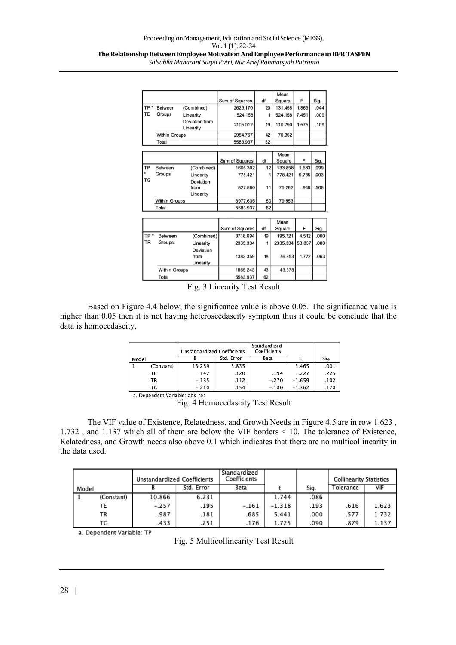| Sig.                                              |
|---------------------------------------------------|
| .044                                              |
| .009                                              |
| .109                                              |
|                                                   |
|                                                   |
|                                                   |
|                                                   |
| Sig.                                              |
| ,099<br>1.683                                     |
| .003<br>9.785                                     |
|                                                   |
| 506                                               |
|                                                   |
|                                                   |
|                                                   |
|                                                   |
|                                                   |
| Sig.                                              |
| .000                                              |
| 53.837<br>.000                                    |
|                                                   |
| .063                                              |
|                                                   |
|                                                   |
|                                                   |
| 1.869<br>7.451<br>1.575<br>.946<br>4.512<br>1.772 |

Fig. 3 Linearity Test Result

Based on Figure 4.4 below, the significance value is above 0.05. The significance value is higher than 0.05 then it is not having heteroscedascity symptom thus it could be conclude that the data is homocedascity.

|                                |            | <b>Unstandardized Coefficients</b> |            | Standardized<br>Coefficients |          |      |  |  |
|--------------------------------|------------|------------------------------------|------------|------------------------------|----------|------|--|--|
| Model                          |            |                                    | Std. Error | Beta                         |          | Sig. |  |  |
|                                | (Constant) | 13.289                             | 3.835      |                              | 3.465    | .001 |  |  |
|                                | TE         | .147                               | .120       | .194                         | 1.227    | .225 |  |  |
|                                | ТR         | $-.185$                            | .112       | $-.270$                      | $-1.659$ | .102 |  |  |
|                                | ТG         | $-.210$                            | .154       | $-.180$                      | $-1.362$ | .178 |  |  |
| a. Dependent Variable: abs res |            |                                    |            |                              |          |      |  |  |

Fig. 4 Homocedascity Test Result

The VIF value of Existence, Relatedness, and Growth Needs in Figure 4.5 are in row 1.623 , 1.732 , and 1.137 which all of them are below the VIF borders < 10. The tolerance of Existence, Relatedness, and Growth needs also above 0.1 which indicates that there are no multicollinearity in the data used.

|       |            | Unstandardized Coefficients |            | Standardized<br>Coefficients |          |      | <b>Collinearity Statistics</b> |       |
|-------|------------|-----------------------------|------------|------------------------------|----------|------|--------------------------------|-------|
| Model |            |                             | Std. Error | Beta                         |          | Sig. | Tolerance                      | VIF   |
|       | (Constant) | 10.866                      | 6.231      |                              | 1.744    | .086 |                                |       |
|       | TE         | $-.257$                     | .195       | $-.161$                      | $-1.318$ | .193 | .616                           | 1.623 |
|       | ТR         | .987                        | .181       | .685                         | 5.441    | .000 | .577                           | 1.732 |
|       | ТG         | .433                        | .251       | .176                         | 1.725    | .090 | .879                           | 1.137 |

a. Dependent Variable: TP

Fig. 5 Multicollinearity Test Result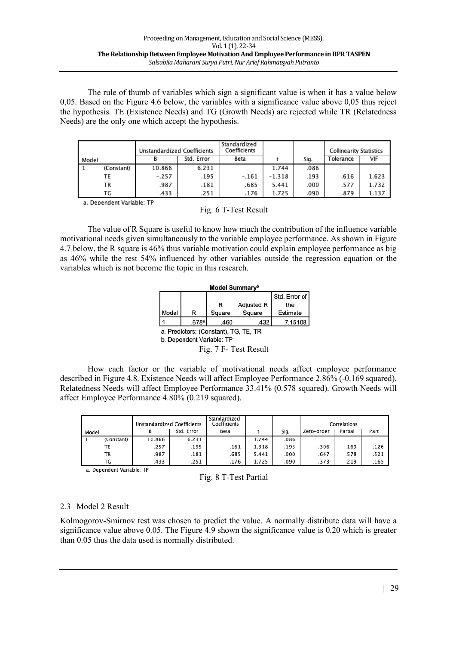The rule of thumb of variables which sign a significant value is when it has a value below 0,05. Based on the Figure 4.6 below, the variables with a significance value above 0,05 thus reject the hypothesis. TE (Existence Needs) and TG (Growth Needs) are rejected while TR (Relatedness Needs) are the only one which accept the hypothesis.

|       |            | Unstandardized Coefficients |            | Standardized<br>Coefficients |          |      | <b>Collinearity Statistics</b> |       |
|-------|------------|-----------------------------|------------|------------------------------|----------|------|--------------------------------|-------|
| Model |            |                             | Std. Error | Beta                         |          | Sig. | Tolerance                      | VIF   |
|       | (Constant) | 10.866                      | 6.231      |                              | 1.744    | .086 |                                |       |
|       | ТE         | $-.257$                     | .195       | $-.161$                      | $-1.318$ | .193 | .616                           | 1.623 |
|       | ТR         | .987                        | .181       | .685                         | 5.441    | .000 | .577                           | 1.732 |
|       | ТG         | .433                        | .251       | .176                         | 1.725    | .090 | .879                           | 1.137 |

a. Dependent Variable: TP

The value of R Square is useful to know how much the contribution of the influence variable motivational needs given simultaneously to the variable employee performance. As shown in Figure 4.7 below, the R square is 46% thus variable motivation could explain employee performance as big as 46% while the rest 54% influenced by other variables outside the regression equation or the variables which is not become the topic in this research.

| Model Summary <sup>b</sup>            |   |        |                   |          |  |  |  |
|---------------------------------------|---|--------|-------------------|----------|--|--|--|
| Std. Error of                         |   |        |                   |          |  |  |  |
|                                       |   |        | <b>Adjusted R</b> | the      |  |  |  |
| Model                                 | R | Square | Square            | Estimate |  |  |  |
| 7.15108<br>.678a<br>.460<br>.432      |   |        |                   |          |  |  |  |
| a. Predictors: (Constant), TG, TE, TR |   |        |                   |          |  |  |  |

b. Dependent Variable: TP

Fig. 7 F- Test Result

How each factor or the variable of motivational needs affect employee performance described in Figure 4.8. Existence Needs will affect Employee Performance 2.86% (-0.169 squared). Relatedness Needs will affect Employee Performance 33.41% (0.578 squared). Growth Needs will affect Employee Performance 4.80% (0.219 squared).

|       |            | Unstandardized Coefficients |            | Standardized<br>Coefficients |          |      |            | Correlations |         |
|-------|------------|-----------------------------|------------|------------------------------|----------|------|------------|--------------|---------|
| Model |            |                             | Std. Error | Beta                         |          | Sig. | Zero-order | Partial      | Part    |
|       | (Constant) | 10.866                      | 6.231      |                              | 1.744    | .086 |            |              |         |
|       | TE         | $-.257$                     | .195       | $-.161$                      | $-1.318$ | .193 | .306       | $-.169$      | $-.126$ |
|       | TR         | .987                        | .181       | .685                         | 5.441    | .000 | .647       | .578         | .521    |
|       | ТG         | .433                        | .251       | .176                         | 1.725    | .090 | .373       | .219         | .165    |

a. Dependent Variable: TP

|  |  |  | Fig. 8 T-Test Partial |
|--|--|--|-----------------------|
|--|--|--|-----------------------|

#### 2.3 Model 2 Result

Kolmogorov-Smirnov test was chosen to predict the value. A normally distribute data will have a significance value above 0.05. The Figure 4.9 shown the significance value is 0.20 which is greater than 0.05 thus the data used is normally distributed.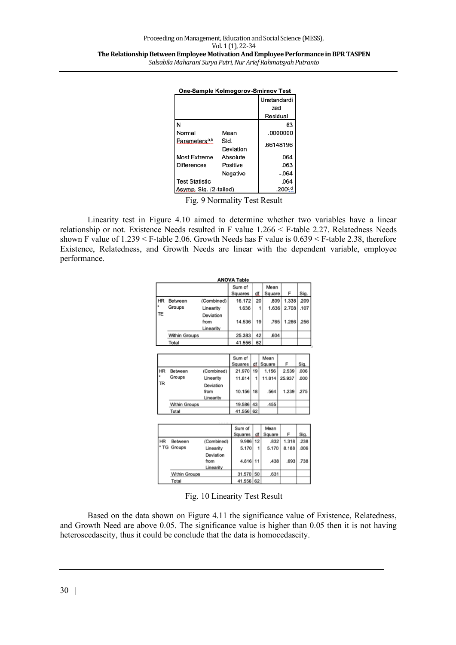| One-Sample Kolmogorov-Smirnov Test |                   |                    |  |  |  |
|------------------------------------|-------------------|--------------------|--|--|--|
|                                    |                   | Unstandardi<br>zed |  |  |  |
|                                    |                   | Residual           |  |  |  |
|                                    |                   | 63                 |  |  |  |
| Normal                             | Mean              | .0000000           |  |  |  |
| Parameters <sup>a,b</sup>          | Std.<br>Deviation | .66148196          |  |  |  |
| Most Extreme                       | Absolute          | .064               |  |  |  |
| <b>Differences</b>                 | Positive          | .063               |  |  |  |
|                                    | Negative          | $-.064$            |  |  |  |
| <b>Test Statistic</b>              |                   | .064               |  |  |  |
| Asymp. Sig. (2-tailed)             |                   | $.200^{c,d}$       |  |  |  |

Fig. 9 Normality Test Result

Linearity test in Figure 4.10 aimed to determine whether two variables have a linear relationship or not. Existence Needs resulted in F value 1.266 < F-table 2.27. Relatedness Needs shown F value of 1.239 < F-table 2.06. Growth Needs has F value is 0.639 < F-table 2.38, therefore Existence, Relatedness, and Growth Needs are linear with the dependent variable, employee performance.

|           |               |            | <b>ANOVA Table</b> |    |            |        |      |
|-----------|---------------|------------|--------------------|----|------------|--------|------|
|           |               |            | Sum of             |    | Mean       |        |      |
|           |               |            | Squares            | df | Square     | F      | Sig. |
| <b>HR</b> | Between       | (Combined) | 16.172             | 20 | .809       | 1.338  | 209  |
|           | Groups        | Linearity  | 1.636              |    | 1.636<br>1 | 2.708  | .107 |
| TE        |               | Deviation  |                    |    |            |        |      |
|           |               | from       | 14.536             | 19 | .765       | 1.266  | 256  |
|           |               | Linearity  |                    |    |            |        |      |
|           | Within Groups |            | 25.383             | 42 | .604       |        |      |
|           | Total         |            | 41.556             | 62 |            |        |      |
|           |               |            |                    |    |            |        |      |
|           |               |            | Sum of             |    | Mean       |        |      |
|           |               |            | Squares            | df | Square     | F      | Sig. |
| <b>HR</b> | Between       | (Combined) | 21.970             | 19 | 1.156      | 2.539  | .006 |
|           | Groups        | Linearity  | 11.814             | 1  | 11.814     | 25.937 | .000 |
| <b>TR</b> |               | Deviation  |                    |    |            |        |      |
|           |               | from       | 10.156             | 18 | .564       | 1.239  | .275 |
|           |               | Linearity  |                    |    |            |        |      |
|           | Within Groups |            | 19.586             | 43 | .455       |        |      |
|           | Total         |            | 41.556 62          |    |            |        |      |
|           |               |            |                    |    |            |        |      |
|           |               |            | Sum of             |    | Mean       |        |      |
|           |               |            | Squares            | df | Square     | F      | Sig. |
| <b>HR</b> | Between       | (Combined) | 9.986              | 12 | .832       | 1.318  | 238  |
|           | * TG Groups   | Linearity  | 5.170              | 1  | 5.170      | 8.188  | .006 |
|           |               | Deviation  |                    |    |            |        |      |
|           |               | from       | 4.816 11           |    | .438       | .693   | .738 |
|           |               | Linearity  |                    |    |            |        |      |
|           | Within Groups |            | 31.570             | 50 | .631       |        |      |
|           | Total         |            | 41.556             | 62 |            |        |      |

Fig. 10 Linearity Test Result

Based on the data shown on Figure 4.11 the significance value of Existence, Relatedness, and Growth Need are above 0.05. The significance value is higher than 0.05 then it is not having heteroscedascity, thus it could be conclude that the data is homocedascity.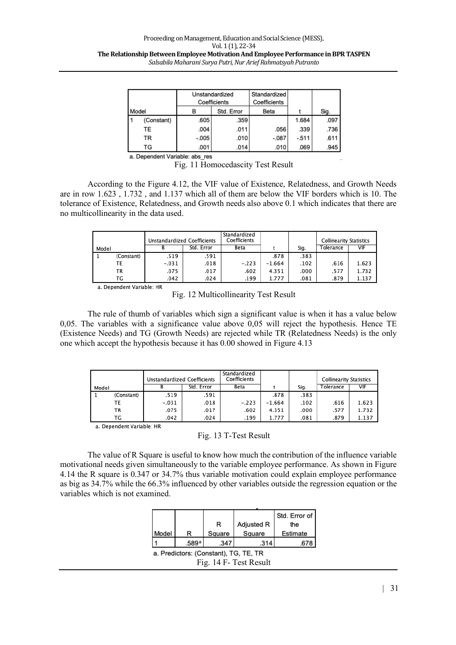|            | Unstandardized<br>Coefficients |            | Standardized<br>Coefficients |        |      |  |  |  |
|------------|--------------------------------|------------|------------------------------|--------|------|--|--|--|
| Model      |                                | Std. Error | Beta                         |        | Sig. |  |  |  |
| (Constant) | .605                           | .359       |                              | 1.684  | .097 |  |  |  |
| TE         | .004                           | .011       | .056                         | .339   | .736 |  |  |  |
| TR         | $-.005$                        | .010       | $-.087$                      | $-511$ | .611 |  |  |  |
| TG         | 001                            | 014        | 010                          | 069    | 945  |  |  |  |

a. Dependent Variable: abs\_res

Fig. 11 Homocedascity Test Result

According to the Figure 4.12, the VIF value of Existence, Relatedness, and Growth Needs are in row 1.623 , 1.732 , and 1.137 which all of them are below the VIF borders which is 10. The tolerance of Existence, Relatedness, and Growth needs also above 0.1 which indicates that there are no multicollinearity in the data used.

|                           |            | <b>Unstandardized Coefficients</b> |            | Standardized<br>Coefficients |          |      | <b>Collinearity Statistics</b> |       |  |
|---------------------------|------------|------------------------------------|------------|------------------------------|----------|------|--------------------------------|-------|--|
| Model                     |            | в                                  | Std. Error | Beta                         |          | Sig. | Tolerance                      | VIF   |  |
|                           | (Constant) | .519                               | .591       |                              | .878     | .383 |                                |       |  |
|                           | TE         | $-.031$                            | .018       | $-.223$                      | $-1.664$ | .102 | .616                           | 1.623 |  |
|                           | ΤR         | .075                               | .017       | .602                         | 4.351    | .000 | .577                           | 1.732 |  |
|                           | ТG         | .042                               | .024       | .199                         | 1.777    | .081 | .879                           | 1.137 |  |
| a. Dependent Variable: HR |            |                                    |            |                              |          |      |                                |       |  |

Fig. 12 Multicollinearity Test Result

The rule of thumb of variables which sign a significant value is when it has a value below 0,05. The variables with a significance value above 0,05 will reject the hypothesis. Hence TE (Existence Needs) and TG (Growth Needs) are rejected while TR (Relatedness Needs) is the only one which accept the hypothesis because it has 0.00 showed in Figure 4.13

|            |         | Unstandardized Coefficients |         |          |      | <b>Collinearity Statistics</b> |       |
|------------|---------|-----------------------------|---------|----------|------|--------------------------------|-------|
| Model      |         | Std. Error                  | Beta    |          | Sig. | Tolerance                      | VIF   |
| (Constant) | .519    | .591                        |         | .878     | .383 |                                |       |
| ТE         | $-.031$ | .018                        | $-.223$ | $-1.664$ | .102 | .616                           | 1.623 |
| ТR         | .075    | .017                        | .602    | 4.351    | .000 | .577                           | 1.732 |
| ТG         | .042    | .024                        | .199    | 1.777    | .081 | .879                           | 1.137 |

a. Dependent Variable: HR

#### Fig. 13 T-Test Result

The value of R Square is useful to know how much the contribution of the influence variable motivational needs given simultaneously to the variable employee performance. As shown in Figure 4.14 the R square is 0.347 or 34.7% thus variable motivation could explain employee performance as big as 34.7% while the 66.3% influenced by other variables outside the regression equation or the variables which is not examined.

|                                                                 |       |        |            | Std. Error of |  |  |  |
|-----------------------------------------------------------------|-------|--------|------------|---------------|--|--|--|
|                                                                 |       | R      | Adjusted R | the           |  |  |  |
| Model                                                           |       | Square | Square     | Estimate      |  |  |  |
|                                                                 | .589ª | .347   | .314       |               |  |  |  |
| a. Predictors: (Constant), TG, TE, TR<br>Fig. 14 F- Test Result |       |        |            |               |  |  |  |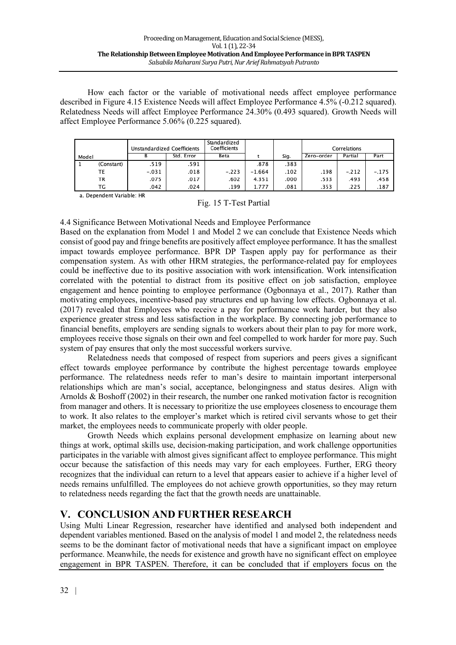How each factor or the variable of motivational needs affect employee performance described in Figure 4.15 Existence Needs will affect Employee Performance 4.5% (-0.212 squared). Relatedness Needs will affect Employee Performance 24.30% (0.493 squared). Growth Needs will affect Employee Performance 5.06% (0.225 squared).

|       |            | Unstandardized Coefficients |            | Standardized<br>Coefficients |          |      |            | Correlations |         |
|-------|------------|-----------------------------|------------|------------------------------|----------|------|------------|--------------|---------|
| Model |            |                             | Std. Error | Beta                         |          | Sig. | Zero-order | Partial      | Part    |
|       | (Constant) | .519                        | .591       |                              | .878     | .383 |            |              |         |
|       | ТE         | $-.031$                     | .018       | $-.223$                      | $-1.664$ | .102 | .198       | $-.212$      | $-.175$ |
|       | TR         | .075                        | .017       | .602                         | 4.351    | .000 | .533       | .493         | .458    |
|       | ТG         | .042                        | .024       | .199                         | 1.777    | .081 | .353       | .225         | .187    |

a. Dependent Variable: HR

| Fig. 15 T-Test Partial |  |  |  |
|------------------------|--|--|--|
|                        |  |  |  |

4.4 Significance Between Motivational Needs and Employee Performance

Based on the explanation from Model 1 and Model 2 we can conclude that Existence Needs which consist of good pay and fringe benefits are positively affect employee performance. It has the smallest impact towards employee performance. BPR DP Taspen apply pay for performance as their compensation system. As with other HRM strategies, the performance-related pay for employees could be ineffective due to its positive association with work intensification. Work intensification correlated with the potential to distract from its positive effect on job satisfaction, employee engagement and hence pointing to employee performance (Ogbonnaya et al., 2017). Rather than motivating employees, incentive-based pay structures end up having low effects. Ogbonnaya et al. (2017) revealed that Employees who receive a pay for performance work harder, but they also experience greater stress and less satisfaction in the workplace. By connecting job performance to financial benefits, employers are sending signals to workers about their plan to pay for more work, employees receive those signals on their own and feel compelled to work harder for more pay. Such system of pay ensures that only the most successful workers survive.

Relatedness needs that composed of respect from superiors and peers gives a significant effect towards employee performance by contribute the highest percentage towards employee performance. The relatedness needs refer to man's desire to maintain important interpersonal relationships which are man's social, acceptance, belongingness and status desires. Align with Arnolds & Boshoff (2002) in their research, the number one ranked motivation factor is recognition from manager and others. It is necessary to prioritize the use employees closeness to encourage them to work. It also relates to the employer's market which is retired civil servants whose to get their market, the employees needs to communicate properly with older people.

Growth Needs which explains personal development emphasize on learning about new things at work, optimal skills use, decision-making participation, and work challenge opportunities participates in the variable with almost gives significant affect to employee performance. This might occur because the satisfaction of this needs may vary for each employees. Further, ERG theory recognizes that the individual can return to a level that appears easier to achieve if a higher level of needs remains unfulfilled. The employees do not achieve growth opportunities, so they may return to relatedness needs regarding the fact that the growth needs are unattainable.

## **V. CONCLUSION AND FURTHER RESEARCH**

Using Multi Linear Regression, researcher have identified and analysed both independent and dependent variables mentioned. Based on the analysis of model 1 and model 2, the relatedness needs seems to be the dominant factor of motivational needs that have a significant impact on employee performance. Meanwhile, the needs for existence and growth have no significant effect on employee engagement in BPR TASPEN. Therefore, it can be concluded that if employers focus on the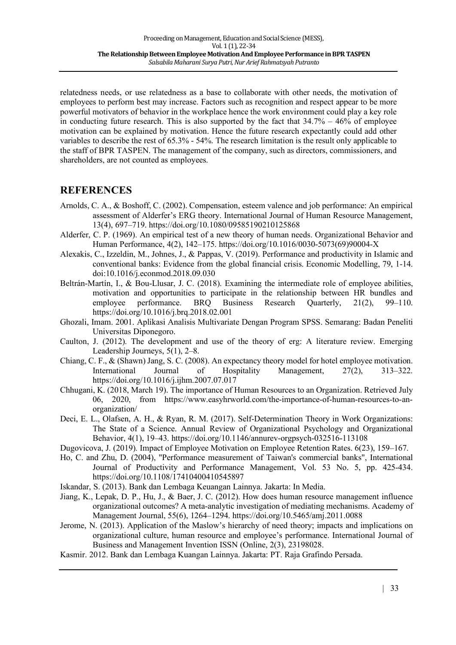relatedness needs, or use relatedness as a base to collaborate with other needs, the motivation of employees to perform best may increase. Factors such as recognition and respect appear to be more powerful motivators of behavior in the workplace hence the work environment could play a key role in conducting future research. This is also supported by the fact that  $34.7\% - 46\%$  of employee motivation can be explained by motivation. Hence the future research expectantly could add other variables to describe the rest of 65.3% - 54%. The research limitation is the result only applicable to the staff of BPR TASPEN. The management of the company, such as directors, commissioners, and shareholders, are not counted as employees.

## **REFERENCES**

- Arnolds, C. A., & Boshoff, C. (2002). Compensation, esteem valence and job performance: An empirical assessment of Alderfer's ERG theory. International Journal of Human Resource Management, 13(4), 697–719. https://doi.org/10.1080/09585190210125868
- Alderfer, C. P. (1969). An empirical test of a new theory of human needs. Organizational Behavior and Human Performance, 4(2), 142–175. https://doi.org/10.1016/0030-5073(69)90004-X
- Alexakis, C., Izzeldin, M., Johnes, J., & Pappas, V. (2019). Performance and productivity in Islamic and conventional banks: Evidence from the global financial crisis. Economic Modelling, 79, 1-14. doi:10.1016/j.econmod.2018.09.030
- Beltrán-Martín, I., & Bou-Llusar, J. C. (2018). Examining the intermediate role of employee abilities, motivation and opportunities to participate in the relationship between HR bundles and employee performance. BRQ Business Research Quarterly, 21(2), 99–110. https://doi.org/10.1016/j.brq.2018.02.001
- Ghozali, Imam. 2001. Aplikasi Analisis Multivariate Dengan Program SPSS. Semarang: Badan Peneliti Universitas Diponegoro.
- Caulton, J. (2012). The development and use of the theory of erg: A literature review. Emerging Leadership Journeys, 5(1), 2–8.
- Chiang, C. F., & (Shawn) Jang, S. C. (2008). An expectancy theory model for hotel employee motivation. International Journal of Hospitality Management, 27(2), 313–322. https://doi.org/10.1016/j.ijhm.2007.07.017
- Chhugani, K. (2018, March 19). The importance of Human Resources to an Organization. Retrieved July 06, 2020, from https://www.easyhrworld.com/the-importance-of-human-resources-to-anorganization/
- Deci, E. L., Olafsen, A. H., & Ryan, R. M. (2017). Self-Determination Theory in Work Organizations: The State of a Science. Annual Review of Organizational Psychology and Organizational Behavior, 4(1), 19–43. https://doi.org/10.1146/annurev-orgpsych-032516-113108
- Dugovicova, J. (2019). Impact of Employee Motivation on Employee Retention Rates. 6(23), 159–167.
- Ho, C. and Zhu, D. (2004), "Performance measurement of Taiwan's commercial banks", International Journal of Productivity and Performance Management, Vol. 53 No. 5, pp. 425-434. https://doi.org/10.1108/17410400410545897
- Iskandar, S. (2013). Bank dan Lembaga Keuangan Lainnya. Jakarta: In Media.
- Jiang, K., Lepak, D. P., Hu, J., & Baer, J. C. (2012). How does human resource management influence organizational outcomes? A meta-analytic investigation of mediating mechanisms. Academy of Management Journal, 55(6), 1264–1294. https://doi.org/10.5465/amj.2011.0088
- Jerome, N. (2013). Application of the Maslow's hierarchy of need theory; impacts and implications on organizational culture, human resource and employee's performance. International Journal of Business and Management Invention ISSN (Online, 2(3), 23198028.
- Kasmir. 2012. Bank dan Lembaga Kuangan Lainnya. Jakarta: PT. Raja Grafindo Persada.